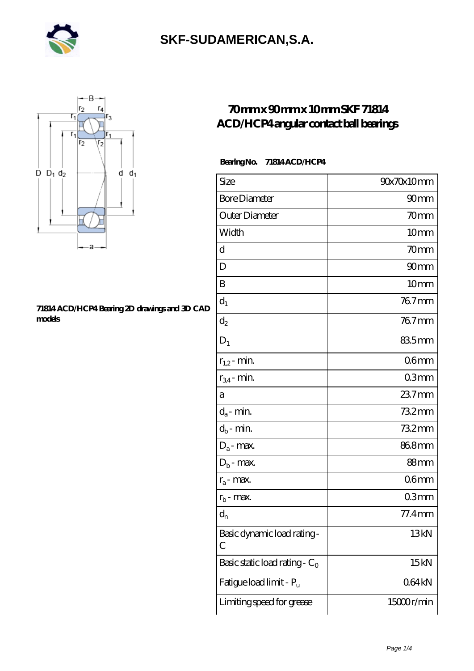



#### **[71814 ACD/HCP4 Bearing 2D drawings and 3D CAD](https://iblcheck.com/pic-574036.html) [models](https://iblcheck.com/pic-574036.html)**

### **[70 mm x 90 mm x 10 mm SKF 71814](https://iblcheck.com/skf-71814-acd-hcp4-bearing/) [ACD/HCP4 angular contact ball bearings](https://iblcheck.com/skf-71814-acd-hcp4-bearing/)**

#### **Bearing No. 71814 ACD/HCP4**

| Size                             | 90x70x10mm       |
|----------------------------------|------------------|
| <b>Bore Diameter</b>             | 90 <sub>mm</sub> |
| Outer Diameter                   | 70mm             |
| Width                            | 10 <sub>mm</sub> |
| d                                | 70mm             |
| D                                | 90 <sub>mm</sub> |
| B                                | 10 <sub>mm</sub> |
| $d_1$                            | 767mm            |
| $d_2$                            | 767mm            |
| $D_1$                            | 835mm            |
| $r_{1,2}$ - min.                 | 06 <sub>mm</sub> |
| $r_{34}$ - min.                  | 03mm             |
| а                                | $237$ mm         |
| $d_a$ - min.                     | 732mm            |
| $d_b$ - min.                     | 732mm            |
| $D_a$ - max.                     | 868mm            |
| $D_b$ - max.                     | 88mm             |
| $r_a$ - max.                     | 06 <sub>mm</sub> |
| $r_{b}$ - max.                   | 03mm             |
| $d_{n}$                          | 77.4mm           |
| Basic dynamic load rating-<br>С  | 13kN             |
| Basic static load rating - $C_0$ | 15kN             |
| Fatigue load limit - Pu          | 064kN            |
| Limiting speed for grease        | 15000r/min       |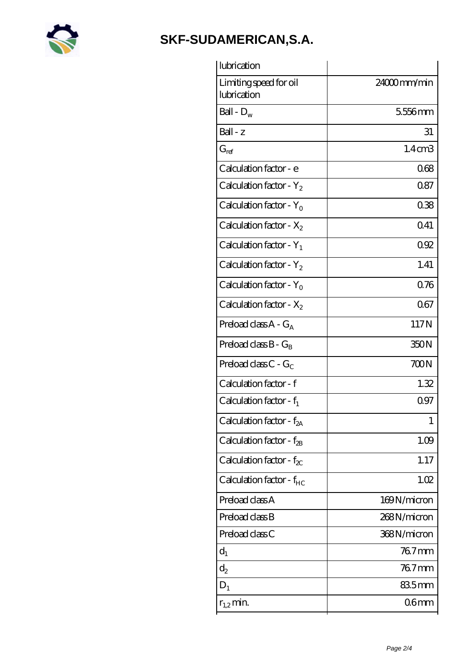

| lubrication                            |                    |
|----------------------------------------|--------------------|
| Limiting speed for oil<br>lubrication  | $24000$ mm/min     |
| Ball - $D_w$                           | 5556mm             |
| Ball - z                               | 31                 |
| $G_{ref}$                              | 1.4 <sub>cm3</sub> |
| Calculation factor - e                 | 068                |
| Calculation factor - $Y_2$             | 0.87               |
| Calculation factor - $Y_0$             | 038                |
| Calculation factor - $X_2$             | 041                |
| Calculation factor - $Y_1$             | 092                |
| Calculation factor - $Y_2$             | 1.41               |
| Calculation factor - $Y_0$             | 076                |
| Calculation factor - $X_2$             | 067                |
| Preload class $A - G_A$                | 117N               |
| Preload class $B - G_B$                | 350N               |
| Preload class $C - G_C$                | 700N               |
| Calculation factor - f                 | 1.32               |
| Calculation factor - $f_1$             | 097                |
| Calculation factor - f <sub>2A</sub>   | 1                  |
| Calculation factor - $f_{\mathcal{B}}$ | 1.09               |
| Calculation factor - $f_{\chi}$        | 1.17               |
| Calculation factor - $f_{HC}$          | 1.02               |
| Preload class A                        | 169N/micron        |
| Preload class B                        | 268N/micron        |
| Preload class C                        | 368N/micron        |
| $d_1$                                  | $767$ mm           |
| $d_2$                                  | $767$ mm           |
| $D_1$                                  | 835mm              |
| $r_{1,2}$ min.                         | 06 <sub>mm</sub>   |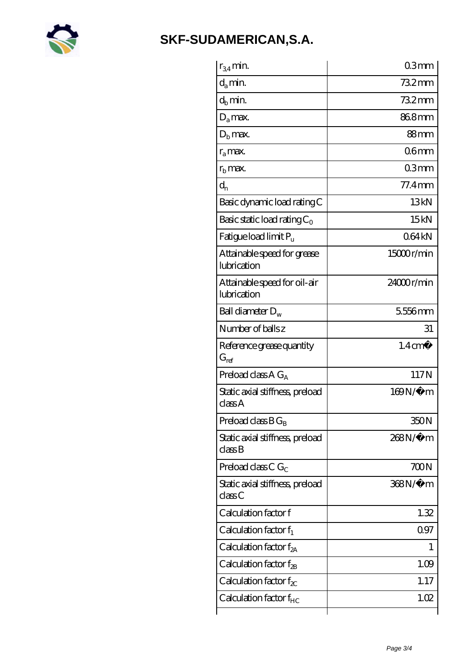

| $r_{34}$ min.                               | 03mm               |
|---------------------------------------------|--------------------|
| $d_a$ min.                                  | $732$ mm           |
| $d_b$ min.                                  | 732mm              |
| $D_a$ max.                                  | 868mm              |
| $Db$ max.                                   | 88mm               |
| $r_a$ max.                                  | 06 <sub>mm</sub>   |
| $rb$ max.                                   | 03mm               |
| $d_{n}$                                     | $77.4$ mm          |
| Basic dynamic load rating C                 | 13kN               |
| Basic static load rating $C_0$              | 15kN               |
| Fatigue load limit Pu                       | 064kN              |
| Attainable speed for grease<br>lubrication  | 15000r/min         |
| Attainable speed for oil-air<br>lubrication | 24000r/min         |
| Ball diameter $D_w$                         | 5556mm             |
| Number of balls z                           | 31                 |
| Reference grease quantity<br>$G_{ref}$      | $1.4 \text{ cm}^3$ |
| Preload class A $G_A$                       | 117N               |
| Static axial stiffness, preload<br>classA   | $169N/\mu$ m       |
| Preload class $BG_B$                        | 350N               |
| Static axial stiffness, preload<br>classB   | 268N/µ m           |
| Preload class C $G_C$                       | 700N               |
| Static axial stiffness, preload<br>classC   | 368N/µ m           |
| Calculation factor f                        | 1.32               |
| Calculation factor $f_1$                    | 097                |
| Calculation factor $f_{2A}$                 | T                  |
| Calculation factor $f_{\rm 2B}$             | 1.09               |
|                                             |                    |
| Calculation factor $f_{\chi}$               | 1.17               |
| Calculation factor $f_{HC}$                 | 1.02               |